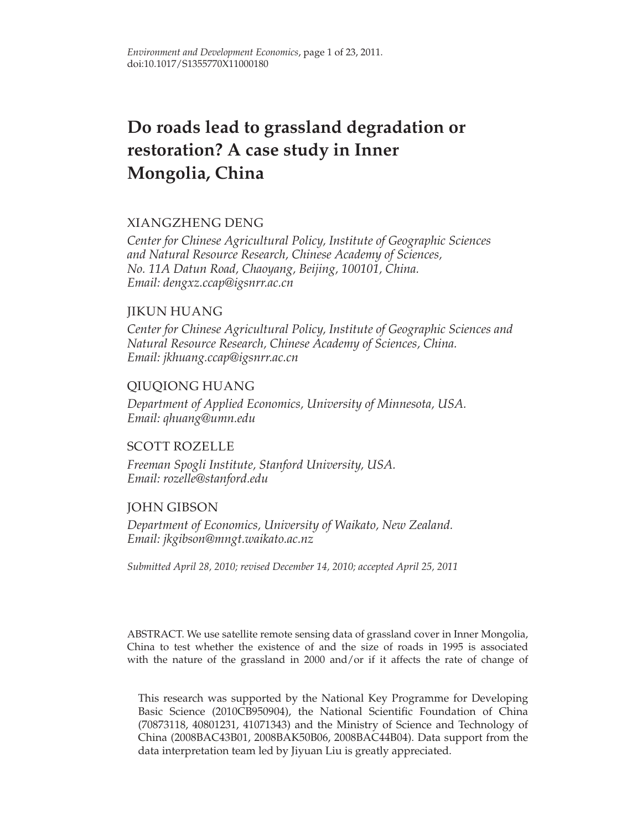# **Do roads lead to grassland degradation or restoration? A case study in Inner Mongolia, China**

# XIANGZHENG DENG

*Center for Chinese Agricultural Policy, Institute of Geographic Sciences and Natural Resource Research, Chinese Academy of Sciences, No. 11A Datun Road, Chaoyang, Beijing, 100101, China. Email: dengxz.ccap@igsnrr.ac.cn*

# JIKUN HUANG

*Center for Chinese Agricultural Policy, Institute of Geographic Sciences and Natural Resource Research, Chinese Academy of Sciences, China. Email: jkhuang.ccap@igsnrr.ac.cn*

# QIUQIONG HUANG

*Department of Applied Economics, University of Minnesota, USA. Email: qhuang@umn.edu*

# SCOTT ROZELLE

*Freeman Spogli Institute, Stanford University, USA. Email: rozelle@stanford.edu*

# JOHN GIBSON

*Department of Economics, University of Waikato, New Zealand. Email: jkgibson@mngt.waikato.ac.nz*

*Submitted April 28, 2010; revised December 14, 2010; accepted April 25, 2011*

ABSTRACT. We use satellite remote sensing data of grassland cover in Inner Mongolia, China to test whether the existence of and the size of roads in 1995 is associated with the nature of the grassland in 2000 and/or if it affects the rate of change of

This research was supported by the National Key Programme for Developing Basic Science (2010CB950904), the National Scientific Foundation of China (70873118, 40801231, 41071343) and the Ministry of Science and Technology of China (2008BAC43B01, 2008BAK50B06, 2008BAC44B04). Data support from the data interpretation team led by Jiyuan Liu is greatly appreciated.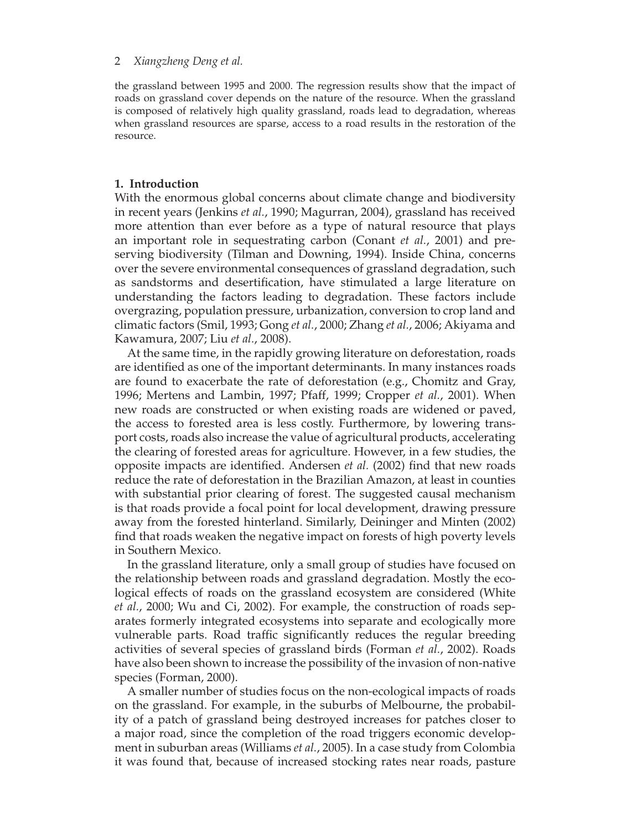the grassland between 1995 and 2000. The regression results show that the impact of roads on grassland cover depends on the nature of the resource. When the grassland is composed of relatively high quality grassland, roads lead to degradation, whereas when grassland resources are sparse, access to a road results in the restoration of the resource.

# **1. Introduction**

With the enormous global concerns about climate change and biodiversity in recent years (Jenkins *et al.*, 1990; Magurran, 2004), grassland has received more attention than ever before as a type of natural resource that plays an important role in sequestrating carbon (Conant *et al.*, 2001) and preserving biodiversity (Tilman and Downing, 1994). Inside China, concerns over the severe environmental consequences of grassland degradation, such as sandstorms and desertification, have stimulated a large literature on understanding the factors leading to degradation. These factors include overgrazing, population pressure, urbanization, conversion to crop land and climatic factors (Smil, 1993; Gong *et al.*, 2000; Zhang *et al.*, 2006; Akiyama and Kawamura, 2007; Liu *et al.*, 2008).

At the same time, in the rapidly growing literature on deforestation, roads are identified as one of the important determinants. In many instances roads are found to exacerbate the rate of deforestation (e.g., Chomitz and Gray, 1996; Mertens and Lambin, 1997; Pfaff, 1999; Cropper *et al.*, 2001). When new roads are constructed or when existing roads are widened or paved, the access to forested area is less costly. Furthermore, by lowering transport costs, roads also increase the value of agricultural products, accelerating the clearing of forested areas for agriculture. However, in a few studies, the opposite impacts are identified. Andersen *et al.* (2002) find that new roads reduce the rate of deforestation in the Brazilian Amazon, at least in counties with substantial prior clearing of forest. The suggested causal mechanism is that roads provide a focal point for local development, drawing pressure away from the forested hinterland. Similarly, Deininger and Minten (2002) find that roads weaken the negative impact on forests of high poverty levels in Southern Mexico.

In the grassland literature, only a small group of studies have focused on the relationship between roads and grassland degradation. Mostly the ecological effects of roads on the grassland ecosystem are considered (White *et al.*, 2000; Wu and Ci, 2002). For example, the construction of roads separates formerly integrated ecosystems into separate and ecologically more vulnerable parts. Road traffic significantly reduces the regular breeding activities of several species of grassland birds (Forman *et al.*, 2002). Roads have also been shown to increase the possibility of the invasion of non-native species (Forman, 2000).

A smaller number of studies focus on the non-ecological impacts of roads on the grassland. For example, in the suburbs of Melbourne, the probability of a patch of grassland being destroyed increases for patches closer to a major road, since the completion of the road triggers economic development in suburban areas (Williams *et al.*, 2005). In a case study from Colombia it was found that, because of increased stocking rates near roads, pasture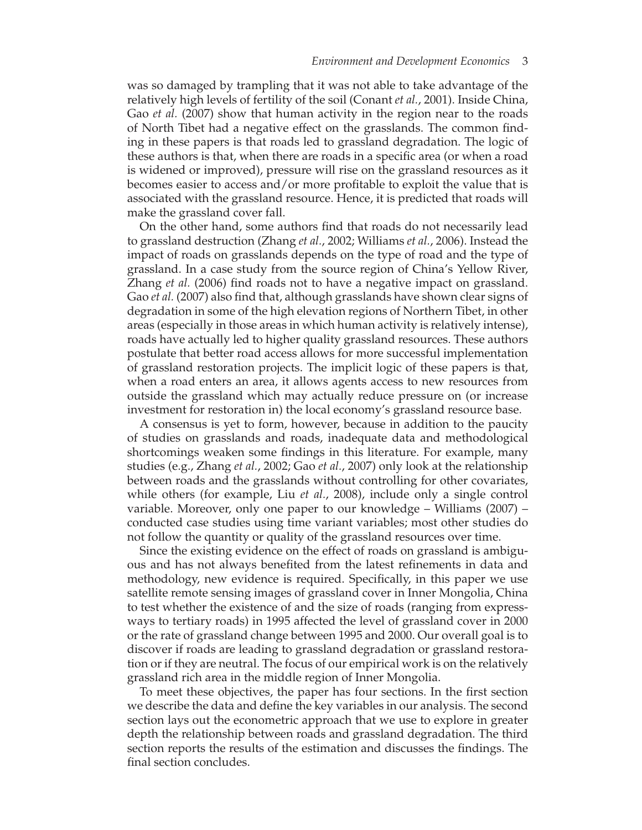was so damaged by trampling that it was not able to take advantage of the relatively high levels of fertility of the soil (Conant *et al.*, 2001). Inside China, Gao *et al.* (2007) show that human activity in the region near to the roads of North Tibet had a negative effect on the grasslands. The common finding in these papers is that roads led to grassland degradation. The logic of these authors is that, when there are roads in a specific area (or when a road is widened or improved), pressure will rise on the grassland resources as it becomes easier to access and/or more profitable to exploit the value that is associated with the grassland resource. Hence, it is predicted that roads will make the grassland cover fall.

On the other hand, some authors find that roads do not necessarily lead to grassland destruction (Zhang *et al.*, 2002; Williams *et al.*, 2006). Instead the impact of roads on grasslands depends on the type of road and the type of grassland. In a case study from the source region of China's Yellow River, Zhang *et al.* (2006) find roads not to have a negative impact on grassland. Gao *et al.* (2007) also find that, although grasslands have shown clear signs of degradation in some of the high elevation regions of Northern Tibet, in other areas (especially in those areas in which human activity is relatively intense), roads have actually led to higher quality grassland resources. These authors postulate that better road access allows for more successful implementation of grassland restoration projects. The implicit logic of these papers is that, when a road enters an area, it allows agents access to new resources from outside the grassland which may actually reduce pressure on (or increase investment for restoration in) the local economy's grassland resource base.

A consensus is yet to form, however, because in addition to the paucity of studies on grasslands and roads, inadequate data and methodological shortcomings weaken some findings in this literature. For example, many studies (e.g., Zhang *et al.*, 2002; Gao *et al.*, 2007) only look at the relationship between roads and the grasslands without controlling for other covariates, while others (for example, Liu *et al.*, 2008), include only a single control variable. Moreover, only one paper to our knowledge – Williams (2007) – conducted case studies using time variant variables; most other studies do not follow the quantity or quality of the grassland resources over time.

Since the existing evidence on the effect of roads on grassland is ambiguous and has not always benefited from the latest refinements in data and methodology, new evidence is required. Specifically, in this paper we use satellite remote sensing images of grassland cover in Inner Mongolia, China to test whether the existence of and the size of roads (ranging from expressways to tertiary roads) in 1995 affected the level of grassland cover in 2000 or the rate of grassland change between 1995 and 2000. Our overall goal is to discover if roads are leading to grassland degradation or grassland restoration or if they are neutral. The focus of our empirical work is on the relatively grassland rich area in the middle region of Inner Mongolia.

To meet these objectives, the paper has four sections. In the first section we describe the data and define the key variables in our analysis. The second section lays out the econometric approach that we use to explore in greater depth the relationship between roads and grassland degradation. The third section reports the results of the estimation and discusses the findings. The final section concludes.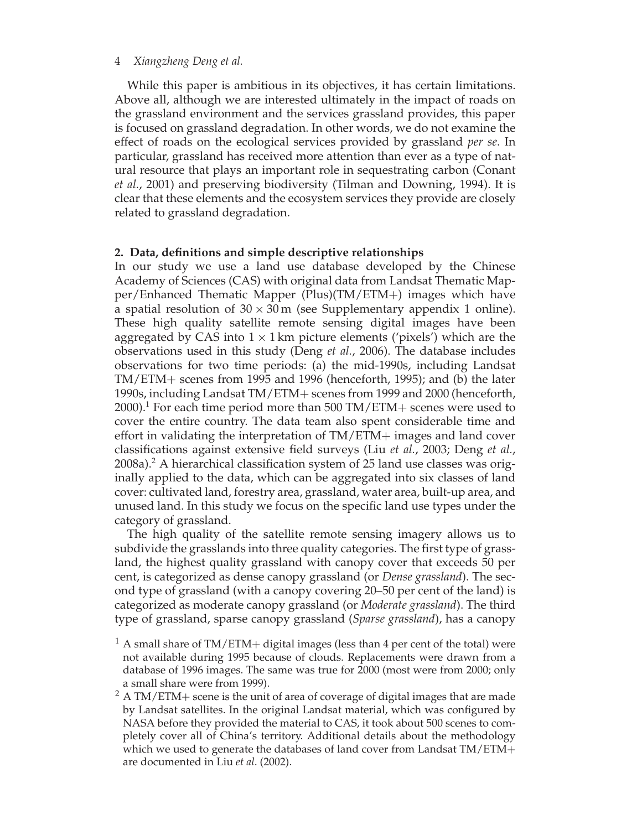While this paper is ambitious in its objectives, it has certain limitations. Above all, although we are interested ultimately in the impact of roads on the grassland environment and the services grassland provides, this paper is focused on grassland degradation. In other words, we do not examine the effect of roads on the ecological services provided by grassland *per se*. In particular, grassland has received more attention than ever as a type of natural resource that plays an important role in sequestrating carbon (Conant *et al.*, 2001) and preserving biodiversity (Tilman and Downing, 1994). It is clear that these elements and the ecosystem services they provide are closely related to grassland degradation.

# **2. Data, definitions and simple descriptive relationships**

In our study we use a land use database developed by the Chinese Academy of Sciences (CAS) with original data from Landsat Thematic Mapper/Enhanced Thematic Mapper (Plus)(TM/ETM+) images which have a spatial resolution of  $30 \times 30$  m (see Supplementary appendix 1 online). These high quality satellite remote sensing digital images have been aggregated by CAS into  $1 \times 1$  km picture elements ('pixels') which are the observations used in this study (Deng *et al.*, 2006). The database includes observations for two time periods: (a) the mid-1990s, including Landsat TM/ETM+ scenes from 1995 and 1996 (henceforth, 1995); and (b) the later 1990s, including Landsat TM/ETM+ scenes from 1999 and 2000 (henceforth, 2000).<sup>1</sup> For each time period more than 500 TM/ETM+ scenes were used to cover the entire country. The data team also spent considerable time and effort in validating the interpretation of TM/ETM+ images and land cover classifications against extensive field surveys (Liu *et al.*, 2003; Deng *et al.*,  $2008a$ ).<sup>2</sup> A hierarchical classification system of 25 land use classes was originally applied to the data, which can be aggregated into six classes of land cover: cultivated land, forestry area, grassland, water area, built-up area, and unused land. In this study we focus on the specific land use types under the category of grassland.

The high quality of the satellite remote sensing imagery allows us to subdivide the grasslands into three quality categories. The first type of grassland, the highest quality grassland with canopy cover that exceeds 50 per cent, is categorized as dense canopy grassland (or *Dense grassland*). The second type of grassland (with a canopy covering 20–50 per cent of the land) is categorized as moderate canopy grassland (or *Moderate grassland*). The third type of grassland, sparse canopy grassland (*Sparse grassland*), has a canopy

- $1$  A small share of TM/ETM+ digital images (less than 4 per cent of the total) were not available during 1995 because of clouds. Replacements were drawn from a database of 1996 images. The same was true for 2000 (most were from 2000; only a small share were from 1999).
- $2$  A TM/ETM+ scene is the unit of area of coverage of digital images that are made by Landsat satellites. In the original Landsat material, which was configured by NASA before they provided the material to CAS, it took about 500 scenes to completely cover all of China's territory. Additional details about the methodology which we used to generate the databases of land cover from Landsat TM/ETM+ are documented in Liu *et al*. (2002).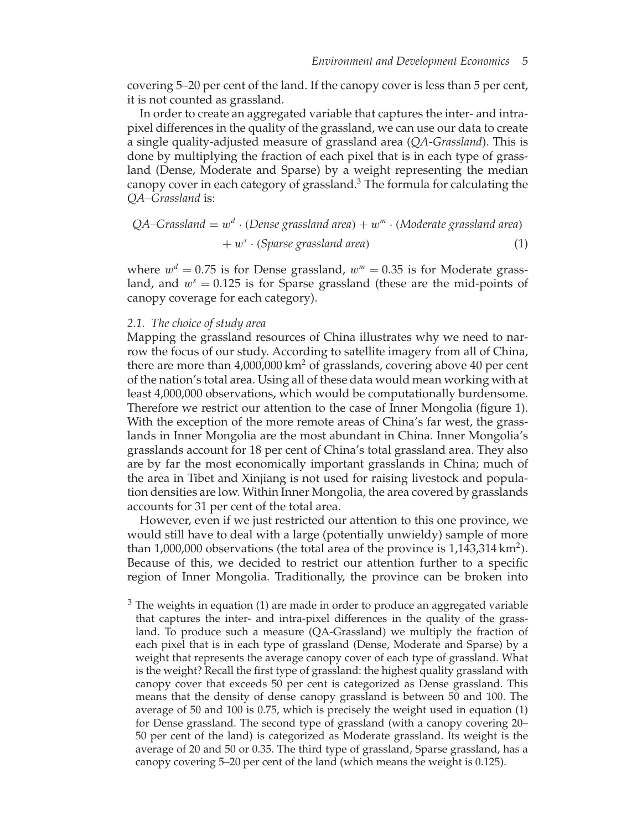covering 5–20 per cent of the land. If the canopy cover is less than 5 per cent, it is not counted as grassland.

In order to create an aggregated variable that captures the inter- and intrapixel differences in the quality of the grassland, we can use our data to create a single quality-adjusted measure of grassland area (*QA-Grassland*). This is done by multiplying the fraction of each pixel that is in each type of grassland (Dense, Moderate and Sparse) by a weight representing the median canopy cover in each category of grassland. $3$  The formula for calculating the *QA–Grassland* is:

$$
QA
$$
-Grassland =  $w^d \cdot (Dense grassland area) + w^m \cdot (Modernate grassland area)$   
+  $w^s \cdot (Sparse grassland area)$  (1)

where  $w^d = 0.75$  is for Dense grassland,  $w^m = 0.35$  is for Moderate grassland, and *w<sup>s</sup>* = 0*.*125 is for Sparse grassland (these are the mid-points of canopy coverage for each category).

#### *2.1. The choice of study area*

Mapping the grassland resources of China illustrates why we need to narrow the focus of our study. According to satellite imagery from all of China, there are more than  $4,000,000 \text{ km}^2$  of grasslands, covering above 40 per cent of the nation's total area. Using all of these data would mean working with at least 4,000,000 observations, which would be computationally burdensome. Therefore we restrict our attention to the case of Inner Mongolia (figure 1). With the exception of the more remote areas of China's far west, the grasslands in Inner Mongolia are the most abundant in China. Inner Mongolia's grasslands account for 18 per cent of China's total grassland area. They also are by far the most economically important grasslands in China; much of the area in Tibet and Xinjiang is not used for raising livestock and population densities are low. Within Inner Mongolia, the area covered by grasslands accounts for 31 per cent of the total area.

However, even if we just restricted our attention to this one province, we would still have to deal with a large (potentially unwieldy) sample of more than 1,000,000 observations (the total area of the province is  $1,143,314 \text{ km}^2$ ). Because of this, we decided to restrict our attention further to a specific region of Inner Mongolia. Traditionally, the province can be broken into

 $3$  The weights in equation (1) are made in order to produce an aggregated variable that captures the inter- and intra-pixel differences in the quality of the grassland. To produce such a measure (QA-Grassland) we multiply the fraction of each pixel that is in each type of grassland (Dense, Moderate and Sparse) by a weight that represents the average canopy cover of each type of grassland. What is the weight? Recall the first type of grassland: the highest quality grassland with canopy cover that exceeds 50 per cent is categorized as Dense grassland. This means that the density of dense canopy grassland is between 50 and 100. The average of 50 and 100 is 0.75, which is precisely the weight used in equation (1) for Dense grassland. The second type of grassland (with a canopy covering 20– 50 per cent of the land) is categorized as Moderate grassland. Its weight is the average of 20 and 50 or 0.35. The third type of grassland, Sparse grassland, has a canopy covering 5–20 per cent of the land (which means the weight is 0.125).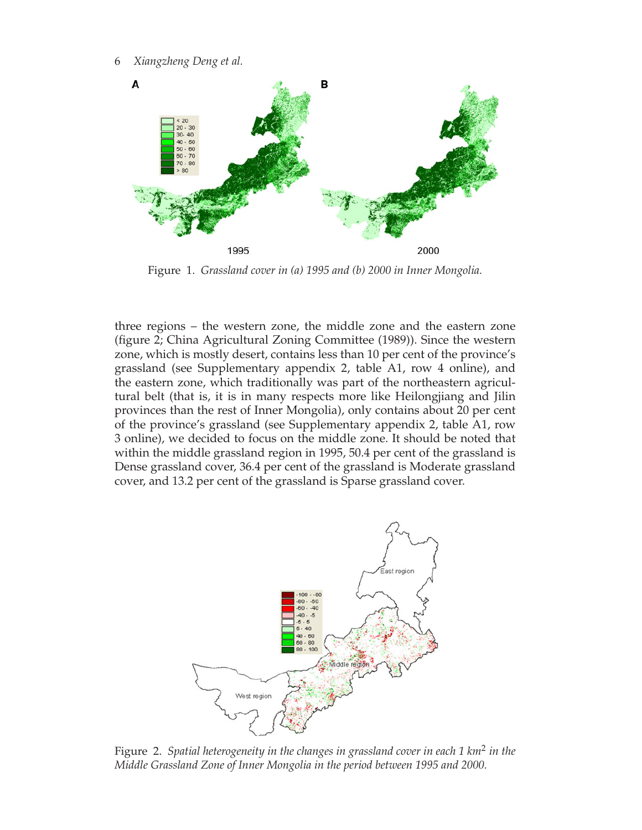6 *Xiangzheng Deng et al.*



Figure 1. *Grassland cover in (a) 1995 and (b) 2000 in Inner Mongolia.*

three regions – the western zone, the middle zone and the eastern zone (figure 2; China Agricultural Zoning Committee (1989)). Since the western zone, which is mostly desert, contains less than 10 per cent of the province's grassland (see Supplementary appendix 2, table A1, row 4 online), and the eastern zone, which traditionally was part of the northeastern agricultural belt (that is, it is in many respects more like Heilongjiang and Jilin provinces than the rest of Inner Mongolia), only contains about 20 per cent of the province's grassland (see Supplementary appendix 2, table A1, row 3 online), we decided to focus on the middle zone. It should be noted that within the middle grassland region in 1995, 50.4 per cent of the grassland is Dense grassland cover, 36.4 per cent of the grassland is Moderate grassland cover, and 13.2 per cent of the grassland is Sparse grassland cover.



Figure 2. *Spatial heterogeneity in the changes in grassland cover in each 1 km*<sup>2</sup> *in the Middle Grassland Zone of Inner Mongolia in the period between 1995 and 2000.*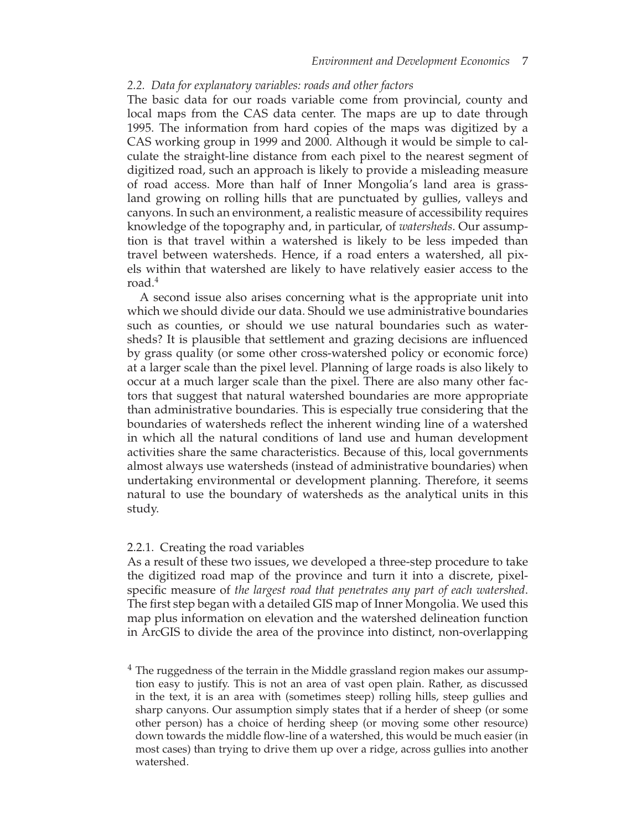# *2.2. Data for explanatory variables: roads and other factors*

The basic data for our roads variable come from provincial, county and local maps from the CAS data center. The maps are up to date through 1995. The information from hard copies of the maps was digitized by a CAS working group in 1999 and 2000. Although it would be simple to calculate the straight-line distance from each pixel to the nearest segment of digitized road, such an approach is likely to provide a misleading measure of road access. More than half of Inner Mongolia's land area is grassland growing on rolling hills that are punctuated by gullies, valleys and canyons. In such an environment, a realistic measure of accessibility requires knowledge of the topography and, in particular, of *watersheds*. Our assumption is that travel within a watershed is likely to be less impeded than travel between watersheds. Hence, if a road enters a watershed, all pixels within that watershed are likely to have relatively easier access to the road.<sup>4</sup>

A second issue also arises concerning what is the appropriate unit into which we should divide our data. Should we use administrative boundaries such as counties, or should we use natural boundaries such as watersheds? It is plausible that settlement and grazing decisions are influenced by grass quality (or some other cross-watershed policy or economic force) at a larger scale than the pixel level. Planning of large roads is also likely to occur at a much larger scale than the pixel. There are also many other factors that suggest that natural watershed boundaries are more appropriate than administrative boundaries. This is especially true considering that the boundaries of watersheds reflect the inherent winding line of a watershed in which all the natural conditions of land use and human development activities share the same characteristics. Because of this, local governments almost always use watersheds (instead of administrative boundaries) when undertaking environmental or development planning. Therefore, it seems natural to use the boundary of watersheds as the analytical units in this study.

#### 2.2.1. Creating the road variables

As a result of these two issues, we developed a three-step procedure to take the digitized road map of the province and turn it into a discrete, pixelspecific measure of *the largest road that penetrates any part of each watershed*. The first step began with a detailed GIS map of Inner Mongolia. We used this map plus information on elevation and the watershed delineation function in ArcGIS to divide the area of the province into distinct, non-overlapping

<sup>&</sup>lt;sup>4</sup> The ruggedness of the terrain in the Middle grassland region makes our assumption easy to justify. This is not an area of vast open plain. Rather, as discussed in the text, it is an area with (sometimes steep) rolling hills, steep gullies and sharp canyons. Our assumption simply states that if a herder of sheep (or some other person) has a choice of herding sheep (or moving some other resource) down towards the middle flow-line of a watershed, this would be much easier (in most cases) than trying to drive them up over a ridge, across gullies into another watershed.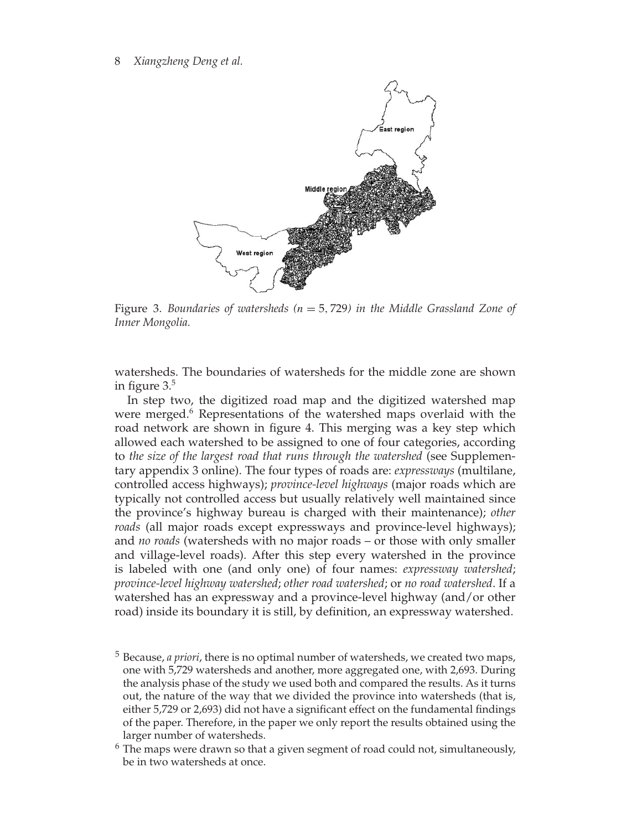

Figure 3. *Boundaries of watersheds (n* = 5*,* 729*) in the Middle Grassland Zone of Inner Mongolia.*

watersheds. The boundaries of watersheds for the middle zone are shown in figure 3.5

In step two, the digitized road map and the digitized watershed map were merged.<sup>6</sup> Representations of the watershed maps overlaid with the road network are shown in figure 4. This merging was a key step which allowed each watershed to be assigned to one of four categories, according to *the size of the largest road that runs through the watershed* (see Supplementary appendix 3 online). The four types of roads are: *expressways* (multilane, controlled access highways); *province-level highways* (major roads which are typically not controlled access but usually relatively well maintained since the province's highway bureau is charged with their maintenance); *other roads* (all major roads except expressways and province-level highways); and *no roads* (watersheds with no major roads – or those with only smaller and village-level roads). After this step every watershed in the province is labeled with one (and only one) of four names: *expressway watershed*; *province-level highway watershed*; *other road watershed*; or *no road watershed*. If a watershed has an expressway and a province-level highway (and/or other road) inside its boundary it is still, by definition, an expressway watershed.

- <sup>5</sup> Because, *a priori*, there is no optimal number of watersheds, we created two maps, one with 5,729 watersheds and another, more aggregated one, with 2,693. During the analysis phase of the study we used both and compared the results. As it turns out, the nature of the way that we divided the province into watersheds (that is, either 5,729 or 2,693) did not have a significant effect on the fundamental findings of the paper. Therefore, in the paper we only report the results obtained using the larger number of watersheds.
- $^6$  The maps were drawn so that a given segment of road could not, simultaneously, be in two watersheds at once.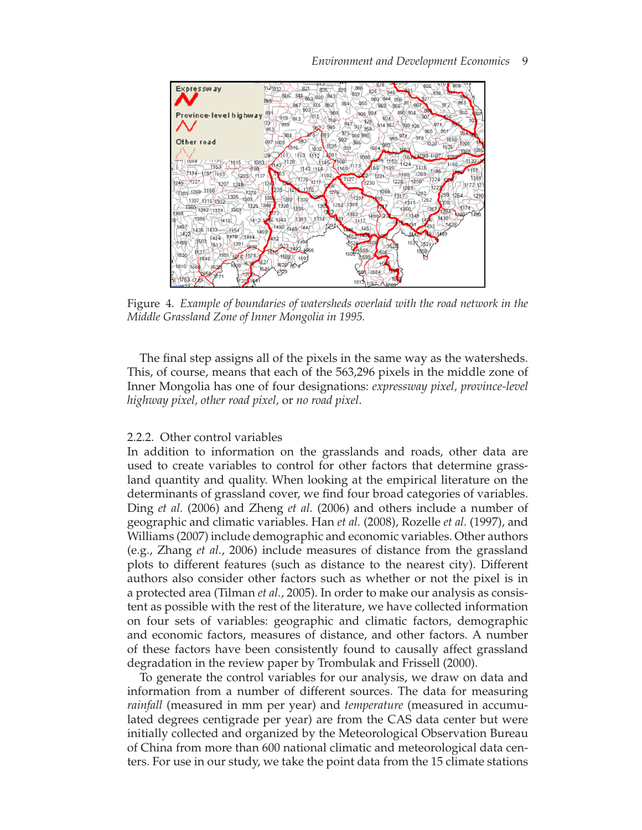

# *Environment and Development Economics* 9

Figure 4. *Example of boundaries of watersheds overlaid with the road network in the Middle Grassland Zone of Inner Mongolia in 1995.*

The final step assigns all of the pixels in the same way as the watersheds. This, of course, means that each of the 563,296 pixels in the middle zone of Inner Mongolia has one of four designations: *expressway pixel, province-level highway pixel, other road pixel,* or *no road pixel*.

# 2.2.2. Other control variables

In addition to information on the grasslands and roads, other data are used to create variables to control for other factors that determine grassland quantity and quality. When looking at the empirical literature on the determinants of grassland cover, we find four broad categories of variables. Ding *et al.* (2006) and Zheng *et al.* (2006) and others include a number of geographic and climatic variables. Han *et al.* (2008), Rozelle *et al.* (1997), and Williams (2007) include demographic and economic variables. Other authors (e.g., Zhang *et al.*, 2006) include measures of distance from the grassland plots to different features (such as distance to the nearest city). Different authors also consider other factors such as whether or not the pixel is in a protected area (Tilman *et al.*, 2005). In order to make our analysis as consistent as possible with the rest of the literature, we have collected information on four sets of variables: geographic and climatic factors, demographic and economic factors, measures of distance, and other factors. A number of these factors have been consistently found to causally affect grassland degradation in the review paper by Trombulak and Frissell (2000).

To generate the control variables for our analysis, we draw on data and information from a number of different sources. The data for measuring *rainfall* (measured in mm per year) and *temperature* (measured in accumulated degrees centigrade per year) are from the CAS data center but were initially collected and organized by the Meteorological Observation Bureau of China from more than 600 national climatic and meteorological data centers. For use in our study, we take the point data from the 15 climate stations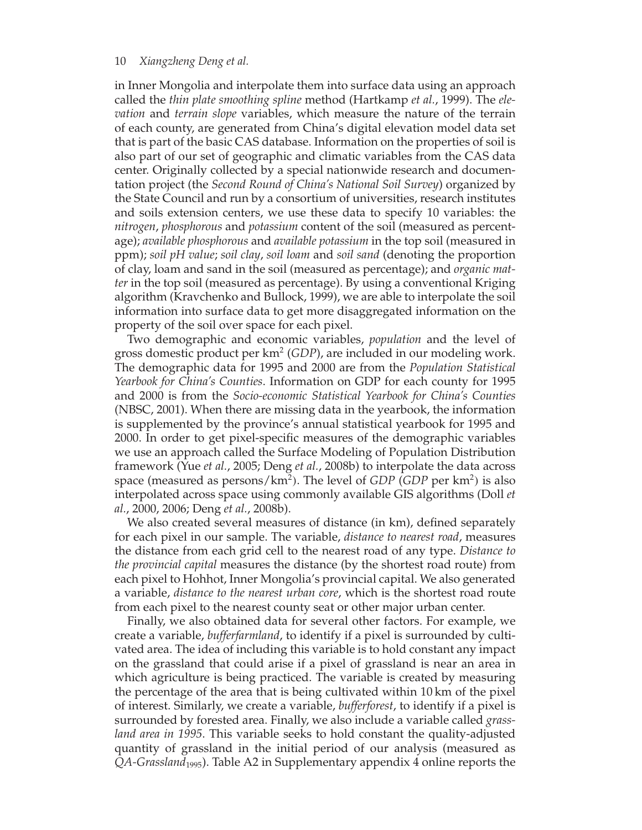in Inner Mongolia and interpolate them into surface data using an approach called the *thin plate smoothing spline* method (Hartkamp *et al.*, 1999). The *elevation* and *terrain slope* variables, which measure the nature of the terrain of each county, are generated from China's digital elevation model data set that is part of the basic CAS database. Information on the properties of soil is also part of our set of geographic and climatic variables from the CAS data center. Originally collected by a special nationwide research and documentation project (the *Second Round of China's National Soil Survey*) organized by the State Council and run by a consortium of universities, research institutes and soils extension centers, we use these data to specify 10 variables: the *nitrogen*, *phosphorous* and *potassium* content of the soil (measured as percentage); *available phosphorous* and *available potassium* in the top soil (measured in ppm); *soil pH value*; *soil clay*, *soil loam* and *soil sand* (denoting the proportion of clay, loam and sand in the soil (measured as percentage); and *organic matter* in the top soil (measured as percentage). By using a conventional Kriging algorithm (Kravchenko and Bullock, 1999), we are able to interpolate the soil information into surface data to get more disaggregated information on the property of the soil over space for each pixel.

Two demographic and economic variables, *population* and the level of gross domestic product per km<sup>2</sup> (*GDP*), are included in our modeling work. The demographic data for 1995 and 2000 are from the *Population Statistical Yearbook for China's Counties*. Information on GDP for each county for 1995 and 2000 is from the *Socio-economic Statistical Yearbook for China's Counties* (NBSC, 2001). When there are missing data in the yearbook, the information is supplemented by the province's annual statistical yearbook for 1995 and 2000. In order to get pixel-specific measures of the demographic variables we use an approach called the Surface Modeling of Population Distribution framework (Yue *et al.*, 2005; Deng *et al.*, 2008b) to interpolate the data across space (measured as persons/km2*)*. The level of *GDP* (*GDP* per km2*)* is also interpolated across space using commonly available GIS algorithms (Doll *et al.*, 2000, 2006; Deng *et al.*, 2008b).

We also created several measures of distance (in km), defined separately for each pixel in our sample. The variable, *distance to nearest road*, measures the distance from each grid cell to the nearest road of any type. *Distance to the provincial capital* measures the distance (by the shortest road route) from each pixel to Hohhot, Inner Mongolia's provincial capital. We also generated a variable, *distance to the nearest urban core*, which is the shortest road route from each pixel to the nearest county seat or other major urban center.

Finally, we also obtained data for several other factors. For example, we create a variable, *bufferfarmland*, to identify if a pixel is surrounded by cultivated area. The idea of including this variable is to hold constant any impact on the grassland that could arise if a pixel of grassland is near an area in which agriculture is being practiced. The variable is created by measuring the percentage of the area that is being cultivated within 10 km of the pixel of interest. Similarly, we create a variable, *bufferforest*, to identify if a pixel is surrounded by forested area. Finally, we also include a variable called *grassland area in 1995*. This variable seeks to hold constant the quality-adjusted quantity of grassland in the initial period of our analysis (measured as *QA-Grassland*1995). Table A2 in Supplementary appendix 4 online reports the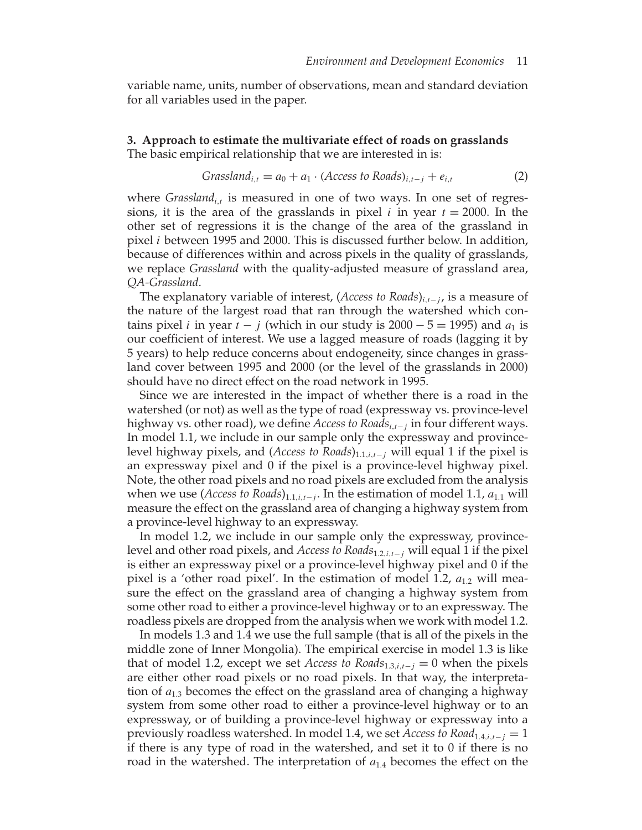variable name, units, number of observations, mean and standard deviation for all variables used in the paper.

**3. Approach to estimate the multivariate effect of roads on grasslands** The basic empirical relationship that we are interested in is:

$$
Grassland_{i,t} = a_0 + a_1 \cdot (Access\ to\ Roads)_{i,t-j} + e_{i,t}
$$
 (2)

where *Grassland*<sub>*i*</sub>, is measured in one of two ways. In one set of regressions, it is the area of the grasslands in pixel *i* in year  $t = 2000$ . In the other set of regressions it is the change of the area of the grassland in pixel *i* between 1995 and 2000. This is discussed further below. In addition, because of differences within and across pixels in the quality of grasslands, we replace *Grassland* with the quality-adjusted measure of grassland area, *QA-Grassland*.

The explanatory variable of interest, (*Access to Roads*)*<sup>i</sup>,t*<sup>−</sup> *<sup>j</sup>* , is a measure of the nature of the largest road that ran through the watershed which contains pixel *i* in year  $t - j$  (which in our study is 2000  $-5 = 1995$ ) and  $a_1$  is our coefficient of interest. We use a lagged measure of roads (lagging it by 5 years) to help reduce concerns about endogeneity, since changes in grassland cover between 1995 and 2000 (or the level of the grasslands in 2000) should have no direct effect on the road network in 1995.

Since we are interested in the impact of whether there is a road in the watershed (or not) as well as the type of road (expressway vs. province-level highway vs. other road), we define *Access to Roads<sup>i</sup>,t*<sup>−</sup> *<sup>j</sup>* in four different ways. In model 1.1, we include in our sample only the expressway and provincelevel highway pixels, and (*Access to Roads*)<sub>1.1,*i*,*t*−*j* will equal 1 if the pixel is</sub> an expressway pixel and 0 if the pixel is a province-level highway pixel. Note, the other road pixels and no road pixels are excluded from the analysis when we use (*Access to Roads*)<sub>1.1,*i*,*t*−*j*</sub>. In the estimation of model 1.1, *a*<sub>1.1</sub> will measure the effect on the grassland area of changing a highway system from a province-level highway to an expressway.

In model 1.2, we include in our sample only the expressway, provincelevel and other road pixels, and *Access to Roads*1*.*2*,i,t*<sup>−</sup> *<sup>j</sup>* will equal 1 if the pixel is either an expressway pixel or a province-level highway pixel and 0 if the pixel is a 'other road pixel'. In the estimation of model 1.2,  $a_{1,2}$  will measure the effect on the grassland area of changing a highway system from some other road to either a province-level highway or to an expressway. The roadless pixels are dropped from the analysis when we work with model 1.2.

In models 1.3 and 1.4 we use the full sample (that is all of the pixels in the middle zone of Inner Mongolia). The empirical exercise in model 1.3 is like that of model 1.2, except we set *Access to Roads*<sub>1.3,*i*, $t-j$  = 0 when the pixels</sub> are either other road pixels or no road pixels. In that way, the interpretation of  $a_{1,3}$  becomes the effect on the grassland area of changing a highway system from some other road to either a province-level highway or to an expressway, or of building a province-level highway or expressway into a previously roadless watershed. In model 1.4, we set *Access to Road*<sub>1.4*,i*, $t-j$  = 1</sub> if there is any type of road in the watershed, and set it to 0 if there is no road in the watershed. The interpretation of *a*1*.*<sup>4</sup> becomes the effect on the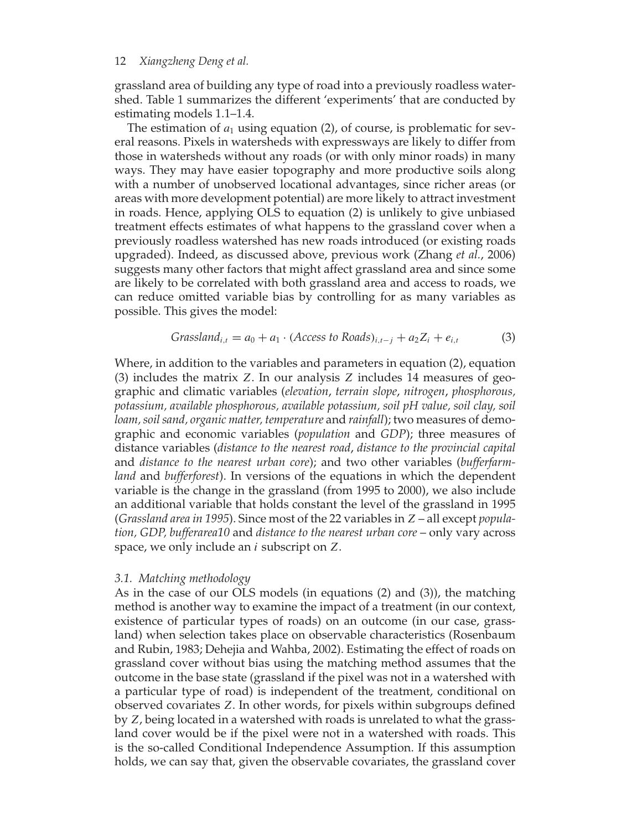grassland area of building any type of road into a previously roadless watershed. Table 1 summarizes the different 'experiments' that are conducted by estimating models 1.1–1.4.

The estimation of  $a_1$  using equation  $(2)$ , of course, is problematic for several reasons. Pixels in watersheds with expressways are likely to differ from those in watersheds without any roads (or with only minor roads) in many ways. They may have easier topography and more productive soils along with a number of unobserved locational advantages, since richer areas (or areas with more development potential) are more likely to attract investment in roads. Hence, applying OLS to equation (2) is unlikely to give unbiased treatment effects estimates of what happens to the grassland cover when a previously roadless watershed has new roads introduced (or existing roads upgraded). Indeed, as discussed above, previous work (Zhang *et al.*, 2006) suggests many other factors that might affect grassland area and since some are likely to be correlated with both grassland area and access to roads, we can reduce omitted variable bias by controlling for as many variables as possible. This gives the model:

$$
Grassland_{i,t} = a_0 + a_1 \cdot (Access\ to\ Roads)_{i,t-j} + a_2 Z_i + e_{i,t}
$$
 (3)

Where, in addition to the variables and parameters in equation (2), equation (3) includes the matrix *Z*. In our analysis *Z* includes 14 measures of geographic and climatic variables (*elevation*, *terrain slope*, *nitrogen*, *phosphorous, potassium, available phosphorous, available potassium, soil pH value, soil clay, soil loam, soil sand, organic matter, temperature* and *rainfall*); two measures of demographic and economic variables (*population* and *GDP*); three measures of distance variables (*distance to the nearest road*, *distance to the provincial capital* and *distance to the nearest urban core*); and two other variables (*bufferfarmland* and *bufferforest*). In versions of the equations in which the dependent variable is the change in the grassland (from 1995 to 2000), we also include an additional variable that holds constant the level of the grassland in 1995 (*Grassland area in 1995*). Since most of the 22 variables in *Z* – all except *population, GDP, bufferarea10* and *distance to the nearest urban core* – only vary across space, we only include an *i* subscript on *Z*.

#### *3.1. Matching methodology*

As in the case of our OLS models (in equations (2) and (3)), the matching method is another way to examine the impact of a treatment (in our context, existence of particular types of roads) on an outcome (in our case, grassland) when selection takes place on observable characteristics (Rosenbaum and Rubin, 1983; Dehejia and Wahba, 2002). Estimating the effect of roads on grassland cover without bias using the matching method assumes that the outcome in the base state (grassland if the pixel was not in a watershed with a particular type of road) is independent of the treatment, conditional on observed covariates *Z*. In other words, for pixels within subgroups defined by *Z*, being located in a watershed with roads is unrelated to what the grassland cover would be if the pixel were not in a watershed with roads. This is the so-called Conditional Independence Assumption. If this assumption holds, we can say that, given the observable covariates, the grassland cover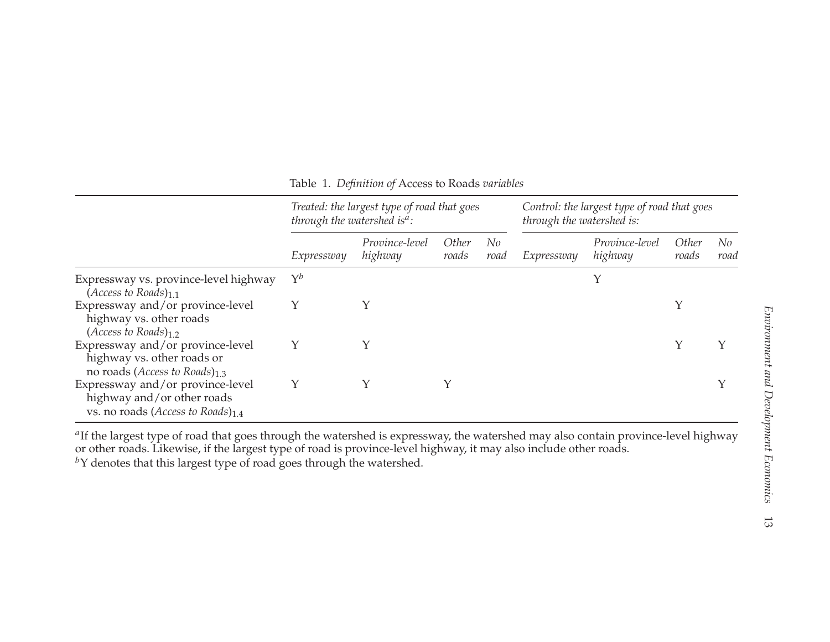|                                                                                                                    | through the watershed is <sup>a</sup> : | Treated: the largest type of road that goes | Control: the largest type of road that goes<br>through the watershed is: |            |            |                           |                       |            |
|--------------------------------------------------------------------------------------------------------------------|-----------------------------------------|---------------------------------------------|--------------------------------------------------------------------------|------------|------------|---------------------------|-----------------------|------------|
|                                                                                                                    | Expressway                              | Province-level<br>highway                   | <i>Other</i><br>roads                                                    | No<br>road | Expressway | Province-level<br>highway | <i>Other</i><br>roads | No<br>road |
| Expressway vs. province-level highway<br>(Access to Roads) $_{1.1}$                                                | $\Upsilon^b$                            |                                             |                                                                          |            |            |                           |                       |            |
| Expressway and/or province-level<br>highway vs. other roads<br>$(Access to Roads)_{1,2}$                           |                                         |                                             |                                                                          |            |            |                           | $\checkmark$          |            |
| Expressway and/or province-level<br>highway vs. other roads or<br>no roads ( <i>Access to Roads</i> ) $_{1,3}$     |                                         |                                             |                                                                          |            |            |                           |                       |            |
| Expressway and/or province-level<br>highway and/or other roads<br>vs. no roads ( <i>Access to Roads</i> ) $_{1.4}$ | Υ                                       |                                             | Υ                                                                        |            |            |                           |                       |            |

Table 1. *Definition of* Access to Roads *variables*

<sup>a</sup>If the largest type of road that goes through the watershed is expressway, the watershed may also contain province-level highway or other roads. Likewise, if the largest type of road is province-level highway, it may also include other roads.

by denotes that this largest type of road goes through the watershed.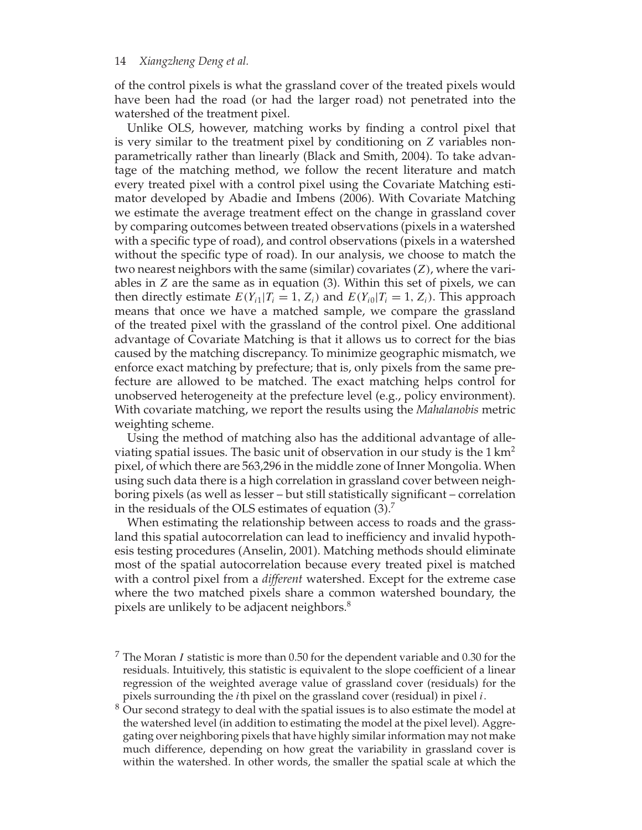of the control pixels is what the grassland cover of the treated pixels would have been had the road (or had the larger road) not penetrated into the watershed of the treatment pixel.

Unlike OLS, however, matching works by finding a control pixel that is very similar to the treatment pixel by conditioning on *Z* variables nonparametrically rather than linearly (Black and Smith, 2004). To take advantage of the matching method, we follow the recent literature and match every treated pixel with a control pixel using the Covariate Matching estimator developed by Abadie and Imbens (2006). With Covariate Matching we estimate the average treatment effect on the change in grassland cover by comparing outcomes between treated observations (pixels in a watershed with a specific type of road), and control observations (pixels in a watershed without the specific type of road). In our analysis, we choose to match the two nearest neighbors with the same (similar) covariates (*Z)*, where the variables in *Z* are the same as in equation (3). Within this set of pixels, we can then directly estimate  $E(Y_{i1}|T_i = 1, Z_i)$  and  $E(Y_{i0}|T_i = 1, Z_i)$ . This approach means that once we have a matched sample, we compare the grassland of the treated pixel with the grassland of the control pixel. One additional advantage of Covariate Matching is that it allows us to correct for the bias caused by the matching discrepancy. To minimize geographic mismatch, we enforce exact matching by prefecture; that is, only pixels from the same prefecture are allowed to be matched. The exact matching helps control for unobserved heterogeneity at the prefecture level (e.g., policy environment). With covariate matching, we report the results using the *Mahalanobis* metric weighting scheme.

Using the method of matching also has the additional advantage of alleviating spatial issues. The basic unit of observation in our study is the  $1 \text{ km}^2$ pixel, of which there are 563,296 in the middle zone of Inner Mongolia. When using such data there is a high correlation in grassland cover between neighboring pixels (as well as lesser – but still statistically significant – correlation in the residuals of the OLS estimates of equation (3).7

When estimating the relationship between access to roads and the grassland this spatial autocorrelation can lead to inefficiency and invalid hypothesis testing procedures (Anselin, 2001). Matching methods should eliminate most of the spatial autocorrelation because every treated pixel is matched with a control pixel from a *different* watershed. Except for the extreme case where the two matched pixels share a common watershed boundary, the pixels are unlikely to be adjacent neighbors.<sup>8</sup>

- <sup>7</sup> The Moran *I* statistic is more than 0.50 for the dependent variable and 0.30 for the residuals. Intuitively, this statistic is equivalent to the slope coefficient of a linear regression of the weighted average value of grassland cover (residuals) for the pixels surrounding the *i*th pixel on the grassland cover (residual) in pixel *i*.
- $8$  Our second strategy to deal with the spatial issues is to also estimate the model at the watershed level (in addition to estimating the model at the pixel level). Aggregating over neighboring pixels that have highly similar information may not make much difference, depending on how great the variability in grassland cover is within the watershed. In other words, the smaller the spatial scale at which the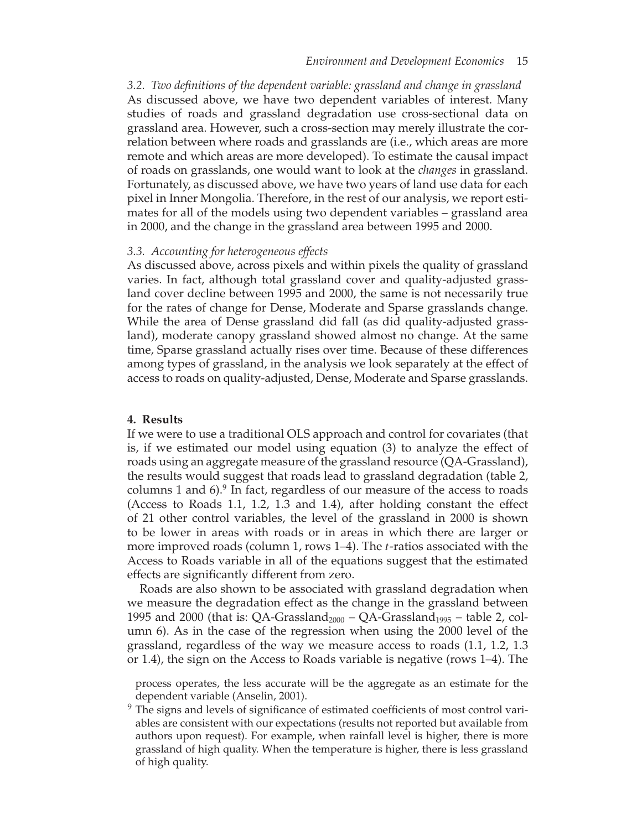*3.2. Two definitions of the dependent variable: grassland and change in grassland* As discussed above, we have two dependent variables of interest. Many studies of roads and grassland degradation use cross-sectional data on grassland area. However, such a cross-section may merely illustrate the correlation between where roads and grasslands are (i.e., which areas are more remote and which areas are more developed). To estimate the causal impact of roads on grasslands, one would want to look at the *changes* in grassland. Fortunately, as discussed above, we have two years of land use data for each pixel in Inner Mongolia. Therefore, in the rest of our analysis, we report estimates for all of the models using two dependent variables – grassland area in 2000, and the change in the grassland area between 1995 and 2000.

#### *3.3. Accounting for heterogeneous effects*

As discussed above, across pixels and within pixels the quality of grassland varies. In fact, although total grassland cover and quality-adjusted grassland cover decline between 1995 and 2000, the same is not necessarily true for the rates of change for Dense, Moderate and Sparse grasslands change. While the area of Dense grassland did fall (as did quality-adjusted grassland), moderate canopy grassland showed almost no change. At the same time, Sparse grassland actually rises over time. Because of these differences among types of grassland, in the analysis we look separately at the effect of access to roads on quality-adjusted, Dense, Moderate and Sparse grasslands.

#### **4. Results**

If we were to use a traditional OLS approach and control for covariates (that is, if we estimated our model using equation (3) to analyze the effect of roads using an aggregate measure of the grassland resource (QA-Grassland), the results would suggest that roads lead to grassland degradation (table 2, columns 1 and 6).<sup>9</sup> In fact, regardless of our measure of the access to roads (Access to Roads 1.1, 1.2, 1.3 and 1.4), after holding constant the effect of 21 other control variables, the level of the grassland in 2000 is shown to be lower in areas with roads or in areas in which there are larger or more improved roads (column 1, rows 1–4). The *t*-ratios associated with the Access to Roads variable in all of the equations suggest that the estimated effects are significantly different from zero.

Roads are also shown to be associated with grassland degradation when we measure the degradation effect as the change in the grassland between 1995 and 2000 (that is: QA-Grassland<sub>2000</sub> – QA-Grassland<sub>1995</sub> – table 2, column 6). As in the case of the regression when using the 2000 level of the grassland, regardless of the way we measure access to roads (1.1, 1.2, 1.3 or 1.4), the sign on the Access to Roads variable is negative (rows 1–4). The

process operates, the less accurate will be the aggregate as an estimate for the dependent variable (Anselin, 2001).

 $9$  The signs and levels of significance of estimated coefficients of most control variables are consistent with our expectations (results not reported but available from authors upon request). For example, when rainfall level is higher, there is more grassland of high quality. When the temperature is higher, there is less grassland of high quality.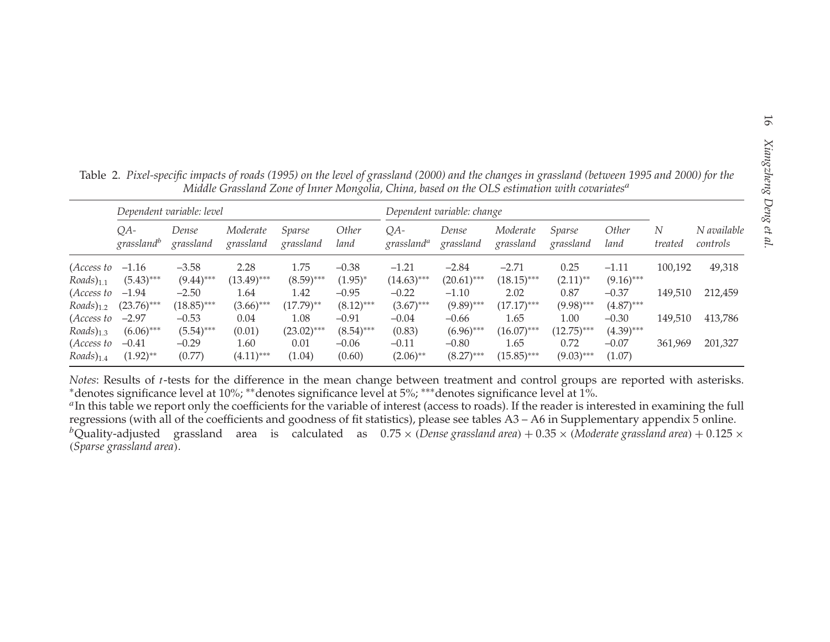|                              |                                 | Dependent variable: level |                       |                      | Dependent variable: change |                               |                         |                       |                      |                         |              |                         |
|------------------------------|---------------------------------|---------------------------|-----------------------|----------------------|----------------------------|-------------------------------|-------------------------|-----------------------|----------------------|-------------------------|--------------|-------------------------|
|                              | $QA-$<br>grassland <sup>b</sup> | Dense<br>grassland        | Moderate<br>grassland | Sparse<br>grassland  | <i>Other</i><br>land       | QA-<br>grassland <sup>a</sup> | Dense<br>grassland      | Moderate<br>grassland | Sparse<br>grassland  | Other<br>land           | N<br>treated | N available<br>controls |
| (Access to                   | $-1.16$                         | $-3.58$                   | 2.28                  | 1.75                 | $-0.38$                    | $-1.21$                       | $-2.84$                 | $-2.71$               | 0.25                 | $-1.11$                 | 100,192      | 49,318                  |
| $Roads)_{1.1}$               | $(5.43)$ ***                    | $(9.44)$ ***              | $(13.49)$ ***         | $(8.59)$ ***         | $(1.95)^{*}$               | $(14.63)$ ***                 | $(20.61)$ ***           | $(18.15)$ ***         | $(2.11)$ **          | $(9.16)$ ***            |              |                         |
| (Access to<br>$Roads)_{1.2}$ | $-1.94$<br>$(23.76)$ ***        | $-2.50$<br>$(18.85)$ ***  | 1.64<br>$(3.66)$ ***  | 1.42<br>$(17.79)$ ** | $-0.95$<br>$(8.12)$ ***    | $-0.22$<br>$(3.67)$ ***       | $-1.10$<br>$(9.89)$ *** | 2.02<br>$(17.17)$ *** | 0.87<br>$(9.98)$ *** | $-0.37$<br>$(4.87)$ *** | 149,510      | 212,459                 |
| (Access to                   | $-2.97$                         | $-0.53$                   | 0.04                  | 1.08                 | $-0.91$                    | $-0.04$                       | $-0.66$                 | 1.65                  | 1.00                 | $-0.30$                 | 149,510      | 413,786                 |
| $Roads)_{1,3}$               | $(6.06)$ ***                    | $(5.54)$ ***              | (0.01)                | $(23.02)$ ***        | $(8.54)$ ***               | (0.83)                        | $(6.96)$ ***            | $(16.07)$ ***         | $(12.75)$ ***        | $(4.39)$ ***            |              |                         |
| (Access to<br>$Roads)_{1.4}$ | $-0.41$<br>$(1.92)$ **          | $-0.29$<br>(0.77)         | 1.60<br>$(4.11)$ ***  | 0.01<br>(1.04)       | $-0.06$<br>(0.60)          | $-0.11$<br>$(2.06)$ **        | $-0.80$<br>$(8.27)$ *** | 1.65<br>$(15.85)$ *** | 0.72<br>$(9.03)$ *** | $-0.07$<br>(1.07)       | 361,969      | 201,327                 |

*Notes*: Results of *<sup>t</sup>*-tests for the difference in the mean change between treatment and control groups are reported with asterisks. <sup>∗</sup>denotes significance level at 10%; ∗∗denotes significance level at 5%; ∗∗∗denotes significance level at 1%.

*<sup>a</sup>*In this table we repor<sup>t</sup> only the coefficients for the variable of interest (access to roads). If the reader is interested in examining the full regressions (with all of the coefficients and goodness of fit statistics), please see tables A3 – A6 in Supplementary appendix 5 online. <sup>b</sup>Quality-adjusted grassland area is calculated as  $0.75 \times$  (Dense grassland area) + 0.35 x (Moderate grassland area) + 0.125 x *(Sparse grassland area)*.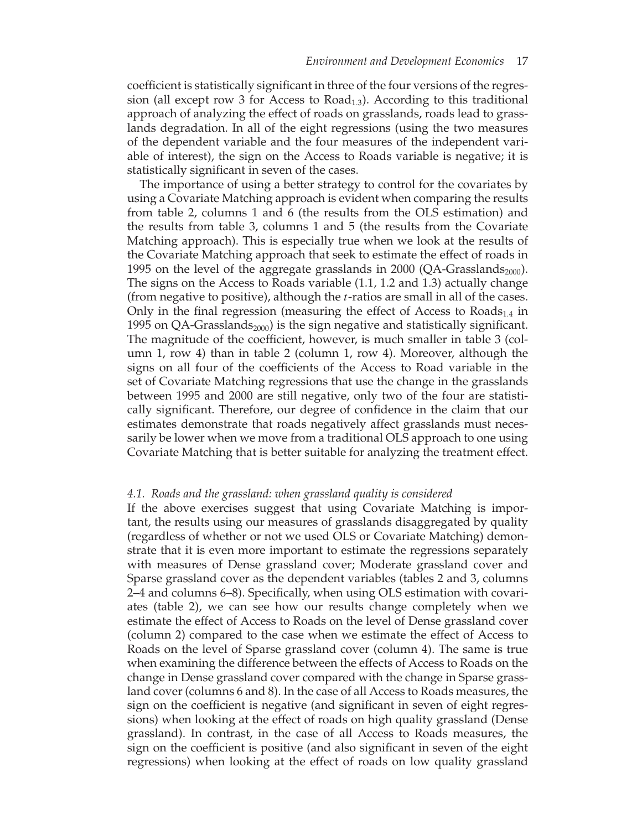coefficient is statistically significant in three of the four versions of the regression (all except row 3 for Access to  $Road<sub>1,3</sub>$ ). According to this traditional approach of analyzing the effect of roads on grasslands, roads lead to grasslands degradation. In all of the eight regressions (using the two measures of the dependent variable and the four measures of the independent variable of interest), the sign on the Access to Roads variable is negative; it is statistically significant in seven of the cases.

The importance of using a better strategy to control for the covariates by using a Covariate Matching approach is evident when comparing the results from table 2, columns 1 and 6 (the results from the OLS estimation) and the results from table 3, columns 1 and 5 (the results from the Covariate Matching approach). This is especially true when we look at the results of the Covariate Matching approach that seek to estimate the effect of roads in 1995 on the level of the aggregate grasslands in 2000 (QA-Grasslands<sub>2000</sub>). The signs on the Access to Roads variable (1.1, 1.2 and 1.3) actually change (from negative to positive), although the *t*-ratios are small in all of the cases. Only in the final regression (measuring the effect of Access to  $Roads<sub>1.4</sub>$  in 1995 on QA-Grasslands<sub>2000</sub>) is the sign negative and statistically significant. The magnitude of the coefficient, however, is much smaller in table 3 (column 1, row 4) than in table 2 (column 1, row 4). Moreover, although the signs on all four of the coefficients of the Access to Road variable in the set of Covariate Matching regressions that use the change in the grasslands between 1995 and 2000 are still negative, only two of the four are statistically significant. Therefore, our degree of confidence in the claim that our estimates demonstrate that roads negatively affect grasslands must necessarily be lower when we move from a traditional OLS approach to one using Covariate Matching that is better suitable for analyzing the treatment effect.

#### *4.1. Roads and the grassland: when grassland quality is considered*

If the above exercises suggest that using Covariate Matching is important, the results using our measures of grasslands disaggregated by quality (regardless of whether or not we used OLS or Covariate Matching) demonstrate that it is even more important to estimate the regressions separately with measures of Dense grassland cover; Moderate grassland cover and Sparse grassland cover as the dependent variables (tables 2 and 3, columns 2–4 and columns 6–8). Specifically, when using OLS estimation with covariates (table 2), we can see how our results change completely when we estimate the effect of Access to Roads on the level of Dense grassland cover (column 2) compared to the case when we estimate the effect of Access to Roads on the level of Sparse grassland cover (column 4). The same is true when examining the difference between the effects of Access to Roads on the change in Dense grassland cover compared with the change in Sparse grassland cover (columns 6 and 8). In the case of all Access to Roads measures, the sign on the coefficient is negative (and significant in seven of eight regressions) when looking at the effect of roads on high quality grassland (Dense grassland). In contrast, in the case of all Access to Roads measures, the sign on the coefficient is positive (and also significant in seven of the eight regressions) when looking at the effect of roads on low quality grassland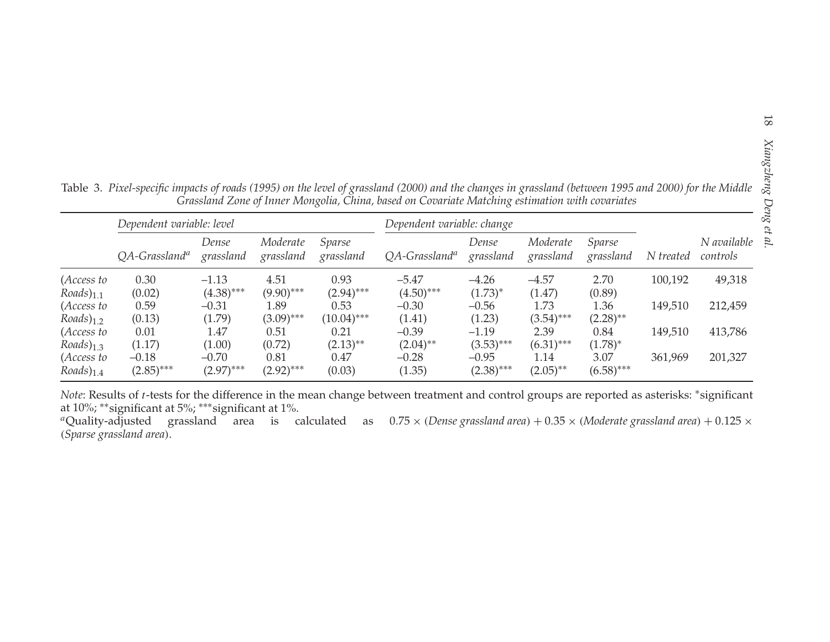| Table 3. Pixel-specific impacts of roads (1995) on the level of grassland (2000) and the changes in grassland (between 1995 and 2000) for the Middle |                                                                                                 |  |  |
|------------------------------------------------------------------------------------------------------------------------------------------------------|-------------------------------------------------------------------------------------------------|--|--|
|                                                                                                                                                      | Grassland Zone of Inner Mongolia, China, based on Covariate Matching estimation with covariates |  |  |

|                        | Dependent variable: level    |                    |                       |                     | Grassland Zone of Inner Mongolia, China, based on Covariate Matching estimation with covariates<br>Dependent variable: change |                    |                       |                     |           |                         |
|------------------------|------------------------------|--------------------|-----------------------|---------------------|-------------------------------------------------------------------------------------------------------------------------------|--------------------|-----------------------|---------------------|-----------|-------------------------|
|                        | $OA$ -Grassland <sup>a</sup> | Dense<br>grassland | Moderate<br>grassland | Sparse<br>grassland | $QA$ -Grassland <sup>a</sup>                                                                                                  | Dense<br>grassland | Moderate<br>grassland | Sparse<br>grassland | N treated | N available<br>controls |
| (Access to             | 0.30                         | $-1.13$            | 4.51                  | 0.93                | $-5.47$                                                                                                                       | $-4.26$            | $-4.57$               | 2.70                | 100,192   | 49,318                  |
| $Roads)_{1,1}$         | (0.02)                       | $(4.38)$ ***       | $(9.90)$ ***          | $(2.94)$ ***        | $(4.50)$ ***                                                                                                                  | $(1.73)^{*}$       | (1.47)                | (0.89)              |           |                         |
| (Access to             | 0.59                         | $-0.31$            | 1.89                  | 0.53                | $-0.30$                                                                                                                       | $-0.56$            | 1.73                  | 1.36                | 149,510   | 212,459                 |
| $Roads)_{1,2}$         | (0.13)                       | (1.79)             | $(3.09)$ ***          | $(10.04)$ ***       | (1.41)                                                                                                                        | (1.23)             | $(3.54)$ ***          | $(2.28)$ **         |           |                         |
| (Access to             | 0.01                         | 1.47               | 0.51                  | 0.21                | $-0.39$                                                                                                                       | $-1.19$            | 2.39                  | 0.84                | 149,510   | 413,786                 |
| $Roads)_{1,3}$         | (1.17)                       | (1.00)             | (0.72)                | $(2.13)$ **         | $(2.04)$ **                                                                                                                   | $(3.53)$ ***       | $(6.31)$ ***          | $(1.78)^{*}$        |           |                         |
| (Access to             | $-0.18$                      | $-0.70$            | 0.81                  | 0.47                | $-0.28$                                                                                                                       | $-0.95$            | 1.14                  | 3.07                | 361,969   | 201,327                 |
| $Roads$ <sub>1.4</sub> | $(2.85)$ ***                 | $(2.97)$ ***       | $(2.92)$ ***          | (0.03)              | (1.35)                                                                                                                        | $(2.38)$ ***       | $(2.05)$ **           | $(6.58)$ ***        |           |                         |

*Note*: Results of *<sup>t</sup>*-tests for the difference in the mean change between treatment and control groups are reported as asterisks: <sup>∗</sup>significant at 10%; ∗∗significant at 5%; ∗∗∗significant at 1%.

"Quality-adjusted grassland area is calculated as  $0.75\times$  (Dense-grassland-area) +  $0.35\times$  (Moderate-grassland-area) +  $0.125\times$ *(Sparse grassland area)*.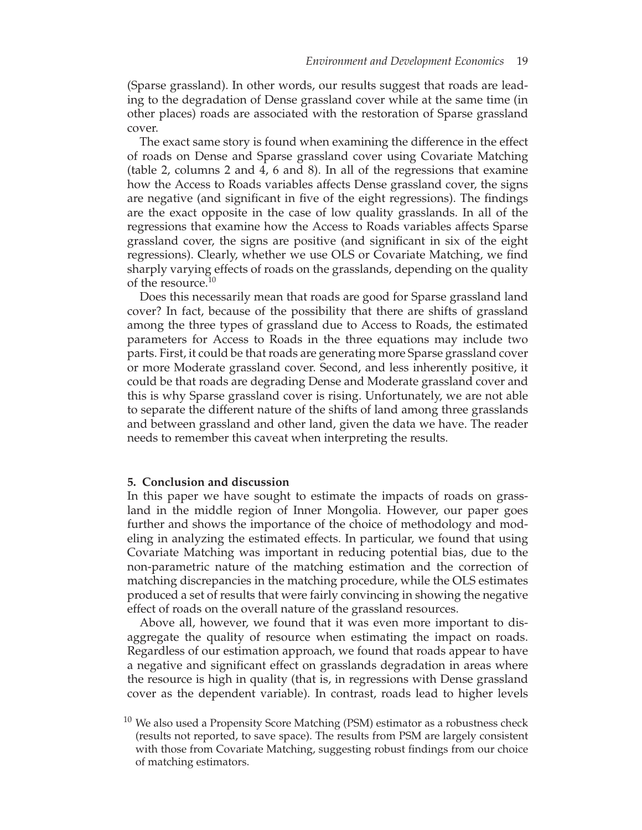(Sparse grassland). In other words, our results suggest that roads are leading to the degradation of Dense grassland cover while at the same time (in other places) roads are associated with the restoration of Sparse grassland cover.

The exact same story is found when examining the difference in the effect of roads on Dense and Sparse grassland cover using Covariate Matching (table 2, columns 2 and 4, 6 and 8). In all of the regressions that examine how the Access to Roads variables affects Dense grassland cover, the signs are negative (and significant in five of the eight regressions). The findings are the exact opposite in the case of low quality grasslands. In all of the regressions that examine how the Access to Roads variables affects Sparse grassland cover, the signs are positive (and significant in six of the eight regressions). Clearly, whether we use OLS or Covariate Matching, we find sharply varying effects of roads on the grasslands, depending on the quality of the resource.<sup>10</sup>

Does this necessarily mean that roads are good for Sparse grassland land cover? In fact, because of the possibility that there are shifts of grassland among the three types of grassland due to Access to Roads, the estimated parameters for Access to Roads in the three equations may include two parts. First, it could be that roads are generating more Sparse grassland cover or more Moderate grassland cover. Second, and less inherently positive, it could be that roads are degrading Dense and Moderate grassland cover and this is why Sparse grassland cover is rising. Unfortunately, we are not able to separate the different nature of the shifts of land among three grasslands and between grassland and other land, given the data we have. The reader needs to remember this caveat when interpreting the results.

#### **5. Conclusion and discussion**

In this paper we have sought to estimate the impacts of roads on grassland in the middle region of Inner Mongolia. However, our paper goes further and shows the importance of the choice of methodology and modeling in analyzing the estimated effects. In particular, we found that using Covariate Matching was important in reducing potential bias, due to the non-parametric nature of the matching estimation and the correction of matching discrepancies in the matching procedure, while the OLS estimates produced a set of results that were fairly convincing in showing the negative effect of roads on the overall nature of the grassland resources.

Above all, however, we found that it was even more important to disaggregate the quality of resource when estimating the impact on roads. Regardless of our estimation approach, we found that roads appear to have a negative and significant effect on grasslands degradation in areas where the resource is high in quality (that is, in regressions with Dense grassland cover as the dependent variable). In contrast, roads lead to higher levels

 $10$  We also used a Propensity Score Matching (PSM) estimator as a robustness check (results not reported, to save space). The results from PSM are largely consistent with those from Covariate Matching, suggesting robust findings from our choice of matching estimators.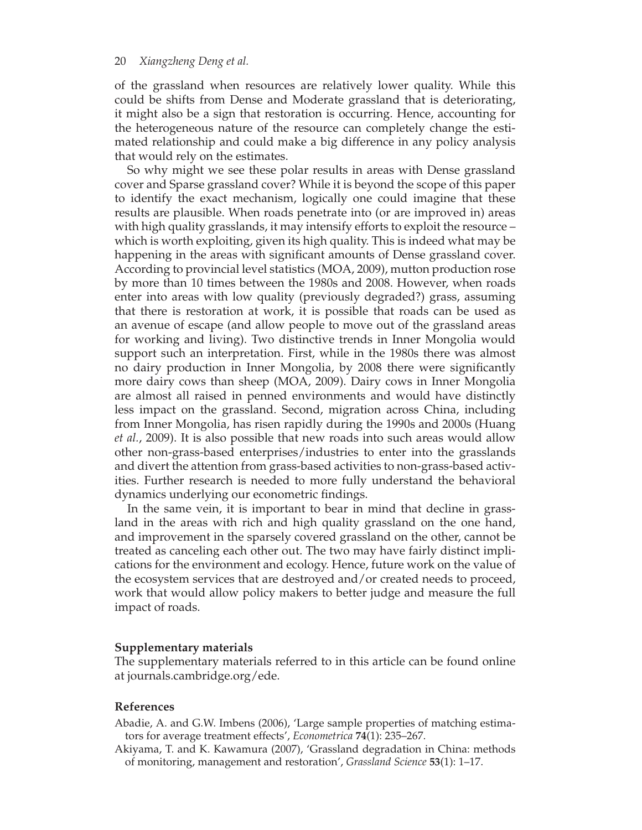of the grassland when resources are relatively lower quality. While this could be shifts from Dense and Moderate grassland that is deteriorating, it might also be a sign that restoration is occurring. Hence, accounting for the heterogeneous nature of the resource can completely change the estimated relationship and could make a big difference in any policy analysis that would rely on the estimates.

So why might we see these polar results in areas with Dense grassland cover and Sparse grassland cover? While it is beyond the scope of this paper to identify the exact mechanism, logically one could imagine that these results are plausible. When roads penetrate into (or are improved in) areas with high quality grasslands, it may intensify efforts to exploit the resource – which is worth exploiting, given its high quality. This is indeed what may be happening in the areas with significant amounts of Dense grassland cover. According to provincial level statistics (MOA, 2009), mutton production rose by more than 10 times between the 1980s and 2008. However, when roads enter into areas with low quality (previously degraded?) grass, assuming that there is restoration at work, it is possible that roads can be used as an avenue of escape (and allow people to move out of the grassland areas for working and living). Two distinctive trends in Inner Mongolia would support such an interpretation. First, while in the 1980s there was almost no dairy production in Inner Mongolia, by 2008 there were significantly more dairy cows than sheep (MOA, 2009). Dairy cows in Inner Mongolia are almost all raised in penned environments and would have distinctly less impact on the grassland. Second, migration across China, including from Inner Mongolia, has risen rapidly during the 1990s and 2000s (Huang *et al.*, 2009). It is also possible that new roads into such areas would allow other non-grass-based enterprises/industries to enter into the grasslands and divert the attention from grass-based activities to non-grass-based activities. Further research is needed to more fully understand the behavioral dynamics underlying our econometric findings.

In the same vein, it is important to bear in mind that decline in grassland in the areas with rich and high quality grassland on the one hand, and improvement in the sparsely covered grassland on the other, cannot be treated as canceling each other out. The two may have fairly distinct implications for the environment and ecology. Hence, future work on the value of the ecosystem services that are destroyed and/or created needs to proceed, work that would allow policy makers to better judge and measure the full impact of roads.

### **Supplementary materials**

The supplementary materials referred to in this article can be found online at journals.cambridge.org/ede.

## **References**

- Abadie, A. and G.W. Imbens (2006), 'Large sample properties of matching estimators for average treatment effects', *Econometrica* **74**(1): 235–267.
- Akiyama, T. and K. Kawamura (2007), 'Grassland degradation in China: methods of monitoring, management and restoration', *Grassland Science* **53**(1): 1–17.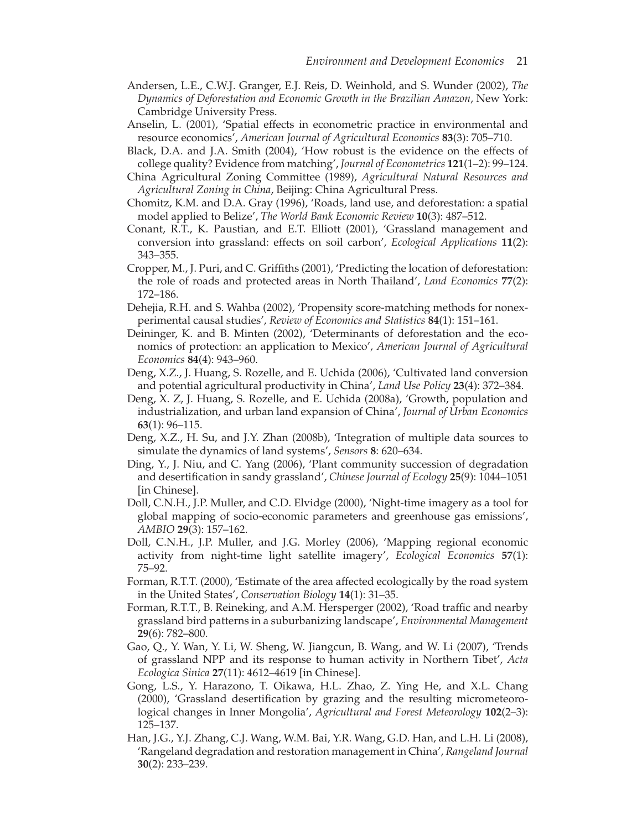- Andersen, L.E., C.W.J. Granger, E.J. Reis, D. Weinhold, and S. Wunder (2002), *The Dynamics of Deforestation and Economic Growth in the Brazilian Amazon*, New York: Cambridge University Press.
- Anselin, L. (2001), 'Spatial effects in econometric practice in environmental and resource economics', *American Journal of Agricultural Economics* **83**(3): 705–710.
- Black, D.A. and J.A. Smith (2004), 'How robust is the evidence on the effects of college quality? Evidence from matching', *Journal of Econometrics* **121**(1–2): 99–124.
- China Agricultural Zoning Committee (1989), *Agricultural Natural Resources and Agricultural Zoning in China*, Beijing: China Agricultural Press.
- Chomitz, K.M. and D.A. Gray (1996), 'Roads, land use, and deforestation: a spatial model applied to Belize', *The World Bank Economic Review* **10**(3): 487–512.
- Conant, R.T., K. Paustian, and E.T. Elliott (2001), 'Grassland management and conversion into grassland: effects on soil carbon', *Ecological Applications* **11**(2): 343–355.
- Cropper, M., J. Puri, and C. Griffiths (2001), 'Predicting the location of deforestation: the role of roads and protected areas in North Thailand', *Land Economics* **77**(2): 172–186.
- Dehejia, R.H. and S. Wahba (2002), 'Propensity score-matching methods for nonexperimental causal studies', *Review of Economics and Statistics* **84**(1): 151–161.
- Deininger, K. and B. Minten (2002), 'Determinants of deforestation and the economics of protection: an application to Mexico', *American Journal of Agricultural Economics* **84**(4): 943–960.
- Deng, X.Z., J. Huang, S. Rozelle, and E. Uchida (2006), 'Cultivated land conversion and potential agricultural productivity in China', *Land Use Policy* **23**(4): 372–384.
- Deng, X. Z, J. Huang, S. Rozelle, and E. Uchida (2008a), 'Growth, population and industrialization, and urban land expansion of China', *Journal of Urban Economics* **63**(1): 96–115.
- Deng, X.Z., H. Su, and J.Y. Zhan (2008b), 'Integration of multiple data sources to simulate the dynamics of land systems', *Sensors* **8**: 620–634.
- Ding, Y., J. Niu, and C. Yang (2006), 'Plant community succession of degradation and desertification in sandy grassland', *Chinese Journal of Ecology* **25**(9): 1044–1051 [in Chinese].
- Doll, C.N.H., J.P. Muller, and C.D. Elvidge (2000), 'Night-time imagery as a tool for global mapping of socio-economic parameters and greenhouse gas emissions', *AMBIO* **29**(3): 157–162.
- Doll, C.N.H., J.P. Muller, and J.G. Morley (2006), 'Mapping regional economic activity from night-time light satellite imagery', *Ecological Economics* **57**(1): 75–92.
- Forman, R.T.T. (2000), 'Estimate of the area affected ecologically by the road system in the United States', *Conservation Biology* **14**(1): 31–35.
- Forman, R.T.T., B. Reineking, and A.M. Hersperger (2002), 'Road traffic and nearby grassland bird patterns in a suburbanizing landscape', *Environmental Management* **29**(6): 782–800.
- Gao, Q., Y. Wan, Y. Li, W. Sheng, W. Jiangcun, B. Wang, and W. Li (2007), 'Trends of grassland NPP and its response to human activity in Northern Tibet', *Acta Ecologica Sinica* **27**(11): 4612–4619 [in Chinese].
- Gong, L.S., Y. Harazono, T. Oikawa, H.L. Zhao, Z. Ying He, and X.L. Chang (2000), 'Grassland desertification by grazing and the resulting micrometeorological changes in Inner Mongolia', *Agricultural and Forest Meteorology* **102**(2–3): 125–137.
- Han, J.G., Y.J. Zhang, C.J. Wang, W.M. Bai, Y.R. Wang, G.D. Han, and L.H. Li (2008), 'Rangeland degradation and restoration management in China', *Rangeland Journal* **30**(2): 233–239.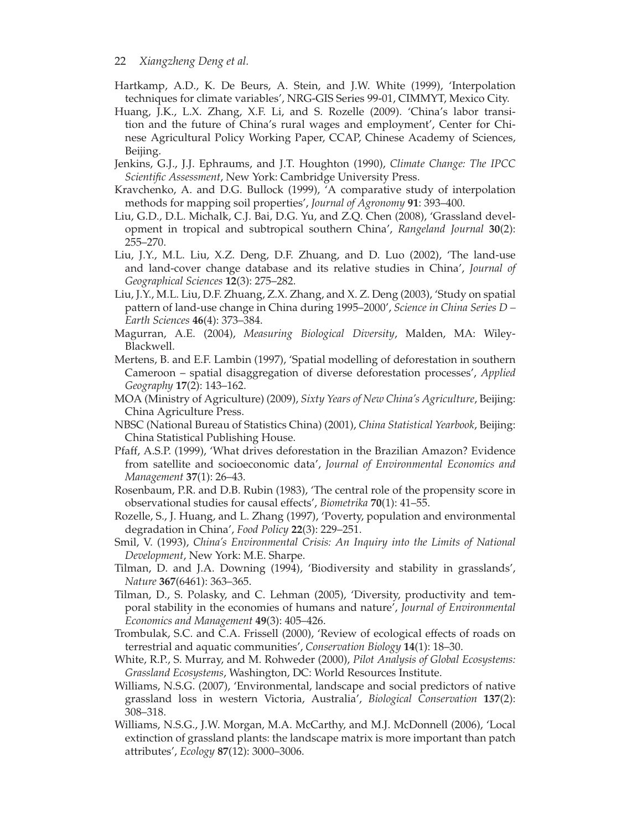- 22 *Xiangzheng Deng et al.*
- Hartkamp, A.D., K. De Beurs, A. Stein, and J.W. White (1999), 'Interpolation techniques for climate variables', NRG-GIS Series 99-01, CIMMYT, Mexico City.
- Huang, J.K., L.X. Zhang, X.F. Li, and S. Rozelle (2009). 'China's labor transition and the future of China's rural wages and employment', Center for Chinese Agricultural Policy Working Paper, CCAP, Chinese Academy of Sciences, Beijing.
- Jenkins, G.J., J.J. Ephraums, and J.T. Houghton (1990), *Climate Change: The IPCC Scientific Assessment*, New York: Cambridge University Press.
- Kravchenko, A. and D.G. Bullock (1999), 'A comparative study of interpolation methods for mapping soil properties', *Journal of Agronomy* **91**: 393–400.
- Liu, G.D., D.L. Michalk, C.J. Bai, D.G. Yu, and Z.Q. Chen (2008), 'Grassland development in tropical and subtropical southern China', *Rangeland Journal* **30**(2): 255–270.
- Liu, J.Y., M.L. Liu, X.Z. Deng, D.F. Zhuang, and D. Luo (2002), 'The land-use and land-cover change database and its relative studies in China', *Journal of Geographical Sciences* **12**(3): 275–282.
- Liu, J.Y., M.L. Liu, D.F. Zhuang, Z.X. Zhang, and X. Z. Deng (2003), 'Study on spatial pattern of land-use change in China during 1995–2000', *Science in China Series D – Earth Sciences* **46**(4): 373–384.
- Magurran, A.E. (2004), *Measuring Biological Diversity*, Malden, MA: Wiley-Blackwell.
- Mertens, B. and E.F. Lambin (1997), 'Spatial modelling of deforestation in southern Cameroon – spatial disaggregation of diverse deforestation processes', *Applied Geography* **17**(2): 143–162.
- MOA (Ministry of Agriculture) (2009), *Sixty Years of New China's Agriculture*, Beijing: China Agriculture Press.
- NBSC (National Bureau of Statistics China) (2001), *China Statistical Yearbook*, Beijing: China Statistical Publishing House.
- Pfaff, A.S.P. (1999), 'What drives deforestation in the Brazilian Amazon? Evidence from satellite and socioeconomic data', *Journal of Environmental Economics and Management* **37**(1): 26–43.
- Rosenbaum, P.R. and D.B. Rubin (1983), 'The central role of the propensity score in observational studies for causal effects', *Biometrika* **70**(1): 41–55.
- Rozelle, S., J. Huang, and L. Zhang (1997), 'Poverty, population and environmental degradation in China', *Food Policy* **22**(3): 229–251.
- Smil, V. (1993), *China's Environmental Crisis: An Inquiry into the Limits of National Development*, New York: M.E. Sharpe.
- Tilman, D. and J.A. Downing (1994), 'Biodiversity and stability in grasslands', *Nature* **367**(6461): 363–365.
- Tilman, D., S. Polasky, and C. Lehman (2005), 'Diversity, productivity and temporal stability in the economies of humans and nature', *Journal of Environmental Economics and Management* **49**(3): 405–426.
- Trombulak, S.C. and C.A. Frissell (2000), 'Review of ecological effects of roads on terrestrial and aquatic communities', *Conservation Biology* **14**(1): 18–30.
- White, R.P., S. Murray, and M. Rohweder (2000), *Pilot Analysis of Global Ecosystems: Grassland Ecosystems*, Washington, DC: World Resources Institute.
- Williams, N.S.G. (2007), 'Environmental, landscape and social predictors of native grassland loss in western Victoria, Australia', *Biological Conservation* **137**(2): 308–318.
- Williams, N.S.G., J.W. Morgan, M.A. McCarthy, and M.J. McDonnell (2006), 'Local extinction of grassland plants: the landscape matrix is more important than patch attributes', *Ecology* **87**(12): 3000–3006.